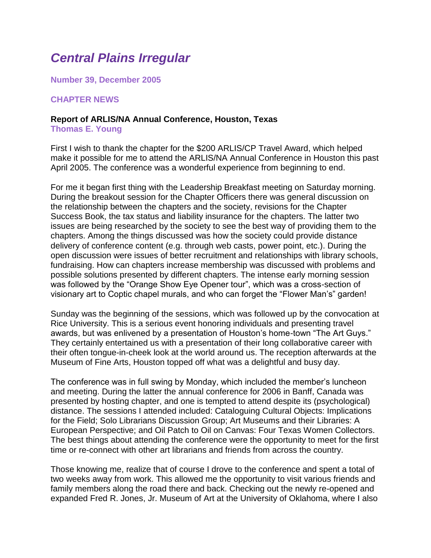# *Central Plains Irregular*

**Number 39, December 2005**

#### **CHAPTER NEWS**

#### **Report of ARLIS/NA Annual Conference, Houston, Texas Thomas E. Young**

First I wish to thank the chapter for the \$200 ARLIS/CP Travel Award, which helped make it possible for me to attend the ARLIS/NA Annual Conference in Houston this past April 2005. The conference was a wonderful experience from beginning to end.

For me it began first thing with the Leadership Breakfast meeting on Saturday morning. During the breakout session for the Chapter Officers there was general discussion on the relationship between the chapters and the society, revisions for the Chapter Success Book, the tax status and liability insurance for the chapters. The latter two issues are being researched by the society to see the best way of providing them to the chapters. Among the things discussed was how the society could provide distance delivery of conference content (e.g. through web casts, power point, etc.). During the open discussion were issues of better recruitment and relationships with library schools, fundraising. How can chapters increase membership was discussed with problems and possible solutions presented by different chapters. The intense early morning session was followed by the "Orange Show Eye Opener tour", which was a cross-section of visionary art to Coptic chapel murals, and who can forget the "Flower Man's" garden!

Sunday was the beginning of the sessions, which was followed up by the convocation at Rice University. This is a serious event honoring individuals and presenting travel awards, but was enlivened by a presentation of Houston's home-town "The Art Guys." They certainly entertained us with a presentation of their long collaborative career with their often tongue-in-cheek look at the world around us. The reception afterwards at the Museum of Fine Arts, Houston topped off what was a delightful and busy day.

The conference was in full swing by Monday, which included the member's luncheon and meeting. During the latter the annual conference for 2006 in Banff, Canada was presented by hosting chapter, and one is tempted to attend despite its (psychological) distance. The sessions I attended included: Cataloguing Cultural Objects: Implications for the Field; Solo Librarians Discussion Group; Art Museums and their Libraries: A European Perspective; and Oil Patch to Oil on Canvas: Four Texas Women Collectors. The best things about attending the conference were the opportunity to meet for the first time or re-connect with other art librarians and friends from across the country.

Those knowing me, realize that of course I drove to the conference and spent a total of two weeks away from work. This allowed me the opportunity to visit various friends and family members along the road there and back. Checking out the newly re-opened and expanded Fred R. Jones, Jr. Museum of Art at the University of Oklahoma, where I also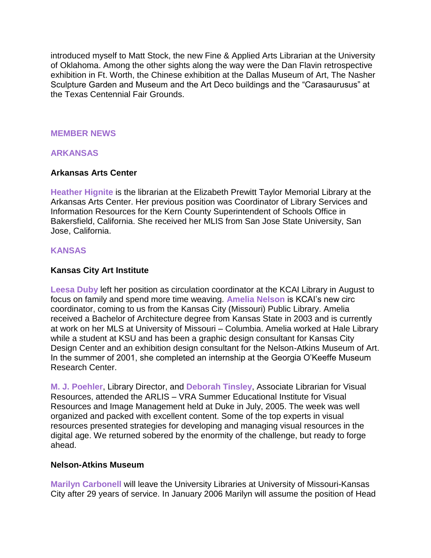introduced myself to Matt Stock, the new Fine & Applied Arts Librarian at the University of Oklahoma. Among the other sights along the way were the Dan Flavin retrospective exhibition in Ft. Worth, the Chinese exhibition at the Dallas Museum of Art, The Nasher Sculpture Garden and Museum and the Art Deco buildings and the "Carasaurusus" at the Texas Centennial Fair Grounds.

#### **MEMBER NEWS**

#### **ARKANSAS**

#### **Arkansas Arts Center**

**Heather Hignite** is the librarian at the Elizabeth Prewitt Taylor Memorial Library at the Arkansas Arts Center. Her previous position was Coordinator of Library Services and Information Resources for the Kern County Superintendent of Schools Office in Bakersfield, California. She received her MLIS from San Jose State University, San Jose, California.

#### **KANSAS**

#### **Kansas City Art Institute**

**Leesa Duby** left her position as circulation coordinator at the KCAI Library in August to focus on family and spend more time weaving. **Amelia Nelson** is KCAI's new circ coordinator, coming to us from the Kansas City (Missouri) Public Library. Amelia received a Bachelor of Architecture degree from Kansas State in 2003 and is currently at work on her MLS at University of Missouri – Columbia. Amelia worked at Hale Library while a student at KSU and has been a graphic design consultant for Kansas City Design Center and an exhibition design consultant for the Nelson-Atkins Museum of Art. In the summer of 2001, she completed an internship at the Georgia O'Keeffe Museum Research Center.

**M. J. Poehler**, Library Director, and **Deborah Tinsley**, Associate Librarian for Visual Resources, attended the ARLIS – VRA Summer Educational Institute for Visual Resources and Image Management held at Duke in July, 2005. The week was well organized and packed with excellent content. Some of the top experts in visual resources presented strategies for developing and managing visual resources in the digital age. We returned sobered by the enormity of the challenge, but ready to forge ahead.

#### **Nelson-Atkins Museum**

**Marilyn Carbonell** will leave the University Libraries at University of Missouri-Kansas City after 29 years of service. In January 2006 Marilyn will assume the position of Head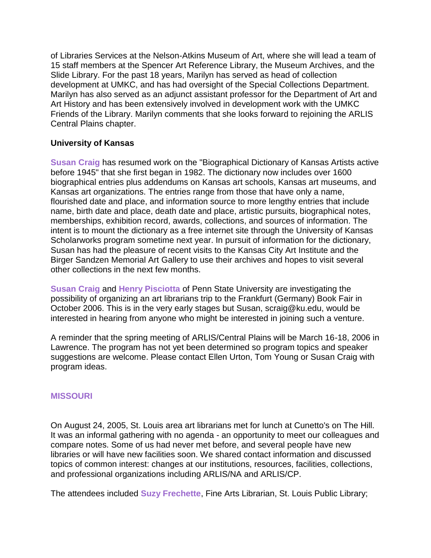of Libraries Services at the Nelson-Atkins Museum of Art, where she will lead a team of 15 staff members at the Spencer Art Reference Library, the Museum Archives, and the Slide Library. For the past 18 years, Marilyn has served as head of collection development at UMKC, and has had oversight of the Special Collections Department. Marilyn has also served as an adjunct assistant professor for the Department of Art and Art History and has been extensively involved in development work with the UMKC Friends of the Library. Marilyn comments that she looks forward to rejoining the ARLIS Central Plains chapter.

## **University of Kansas**

**Susan Craig** has resumed work on the "Biographical Dictionary of Kansas Artists active before 1945" that she first began in 1982. The dictionary now includes over 1600 biographical entries plus addendums on Kansas art schools, Kansas art museums, and Kansas art organizations. The entries range from those that have only a name, flourished date and place, and information source to more lengthy entries that include name, birth date and place, death date and place, artistic pursuits, biographical notes, memberships, exhibition record, awards, collections, and sources of information. The intent is to mount the dictionary as a free internet site through the University of Kansas Scholarworks program sometime next year. In pursuit of information for the dictionary, Susan has had the pleasure of recent visits to the Kansas City Art Institute and the Birger Sandzen Memorial Art Gallery to use their archives and hopes to visit several other collections in the next few months.

**Susan Craig** and **Henry Pisciotta** of Penn State University are investigating the possibility of organizing an art librarians trip to the Frankfurt (Germany) Book Fair in October 2006. This is in the very early stages but Susan, scraig@ku.edu, would be interested in hearing from anyone who might be interested in joining such a venture.

A reminder that the spring meeting of ARLIS/Central Plains will be March 16-18, 2006 in Lawrence. The program has not yet been determined so program topics and speaker suggestions are welcome. Please contact Ellen Urton, Tom Young or Susan Craig with program ideas.

## **MISSOURI**

On August 24, 2005, St. Louis area art librarians met for lunch at Cunetto's on The Hill. It was an informal gathering with no agenda - an opportunity to meet our colleagues and compare notes. Some of us had never met before, and several people have new libraries or will have new facilities soon. We shared contact information and discussed topics of common interest: changes at our institutions, resources, facilities, collections, and professional organizations including ARLIS/NA and ARLIS/CP.

The attendees included **Suzy Frechette**, Fine Arts Librarian, St. Louis Public Library;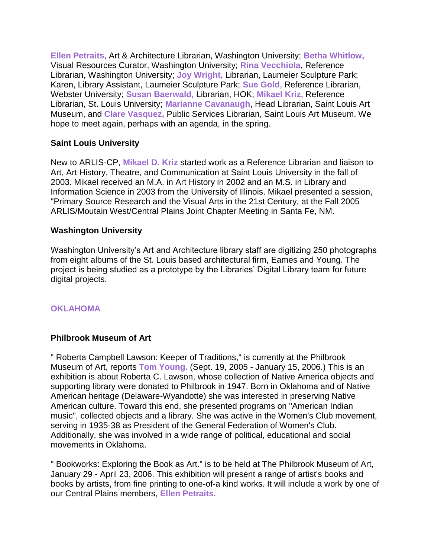**Ellen Petraits,** Art & Architecture Librarian, Washington University; **Betha Whitlow,** Visual Resources Curator, Washington University; **Rina Vecchiola**, Reference Librarian, Washington University; **Joy Wright,** Librarian, Laumeier Sculpture Park; Karen, Library Assistant, Laumeier Sculpture Park; **Sue Gold**, Reference Librarian, Webster University; **Susan Baerwald,** Librarian, HOK; **Mikael Kriz**, Reference Librarian, St. Louis University; **Marianne Cavanaugh**, Head Librarian, Saint Louis Art Museum, and **Clare Vasquez,** Public Services Librarian, Saint Louis Art Museum. We hope to meet again, perhaps with an agenda, in the spring.

## **Saint Louis University**

New to ARLIS-CP, **Mikael D. Kriz** started work as a Reference Librarian and liaison to Art, Art History, Theatre, and Communication at Saint Louis University in the fall of 2003. Mikael received an M.A. in Art History in 2002 and an M.S. in Library and Information Science in 2003 from the University of Illinois. Mikael presented a session, "Primary Source Research and the Visual Arts in the 21st Century, at the Fall 2005 ARLIS/Moutain West/Central Plains Joint Chapter Meeting in Santa Fe, NM.

## **Washington University**

Washington University's Art and Architecture library staff are digitizing 250 photographs from eight albums of the St. Louis based architectural firm, Eames and Young. The project is being studied as a prototype by the Libraries' Digital Library team for future digital projects.

## **OKLAHOMA**

## **Philbrook Museum of Art**

" Roberta Campbell Lawson: Keeper of Traditions," is currently at the Philbrook Museum of Art, reports **Tom Young.** (Sept. 19, 2005 - January 15, 2006.) This is an exhibition is about Roberta C. Lawson, whose collection of Native America objects and supporting library were donated to Philbrook in 1947. Born in Oklahoma and of Native American heritage (Delaware-Wyandotte) she was interested in preserving Native American culture. Toward this end, she presented programs on "American Indian music", collected objects and a library. She was active in the Women's Club movement, serving in 1935-38 as President of the General Federation of Women's Club. Additionally, she was involved in a wide range of political, educational and social movements in Oklahoma.

" Bookworks: Exploring the Book as Art." is to be held at The Philbrook Museum of Art, January 29 - April 23, 2006. This exhibition will present a range of artist's books and books by artists, from fine printing to one-of-a kind works. It will include a work by one of our Central Plains members, **Ellen Petraits**.